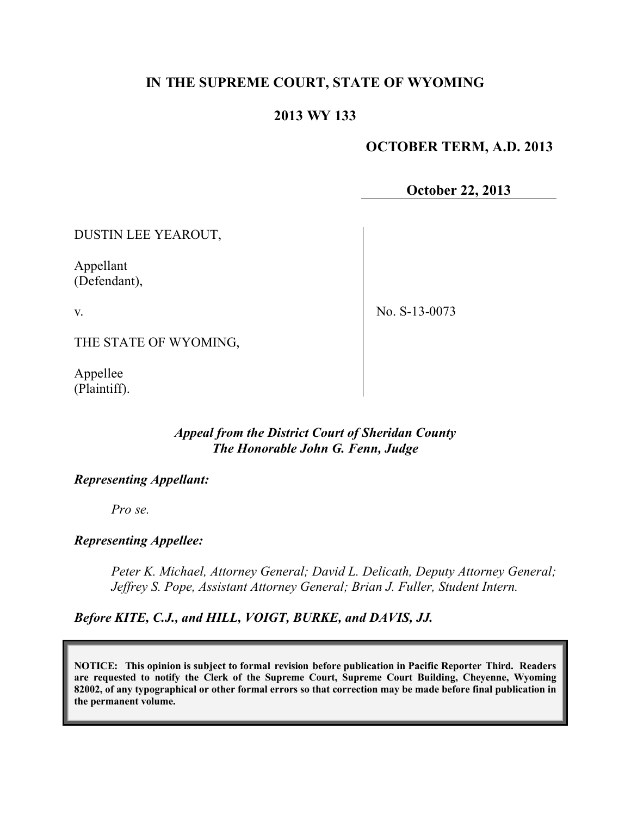# **IN THE SUPREME COURT, STATE OF WYOMING**

## **2013 WY 133**

### **OCTOBER TERM, A.D. 2013**

**October 22, 2013**

DUSTIN LEE YEAROUT,

Appellant (Defendant),

v.

No. S-13-0073

THE STATE OF WYOMING,

Appellee (Plaintiff).

#### *Appeal from the District Court of Sheridan County The Honorable John G. Fenn, Judge*

#### *Representing Appellant:*

*Pro se.*

#### *Representing Appellee:*

*Peter K. Michael, Attorney General; David L. Delicath, Deputy Attorney General; Jeffrey S. Pope, Assistant Attorney General; Brian J. Fuller, Student Intern.*

*Before KITE, C.J., and HILL, VOIGT, BURKE, and DAVIS, JJ.*

**NOTICE: This opinion is subject to formal revision before publication in Pacific Reporter Third. Readers are requested to notify the Clerk of the Supreme Court, Supreme Court Building, Cheyenne, Wyoming 82002, of any typographical or other formal errors so that correction may be made before final publication in the permanent volume.**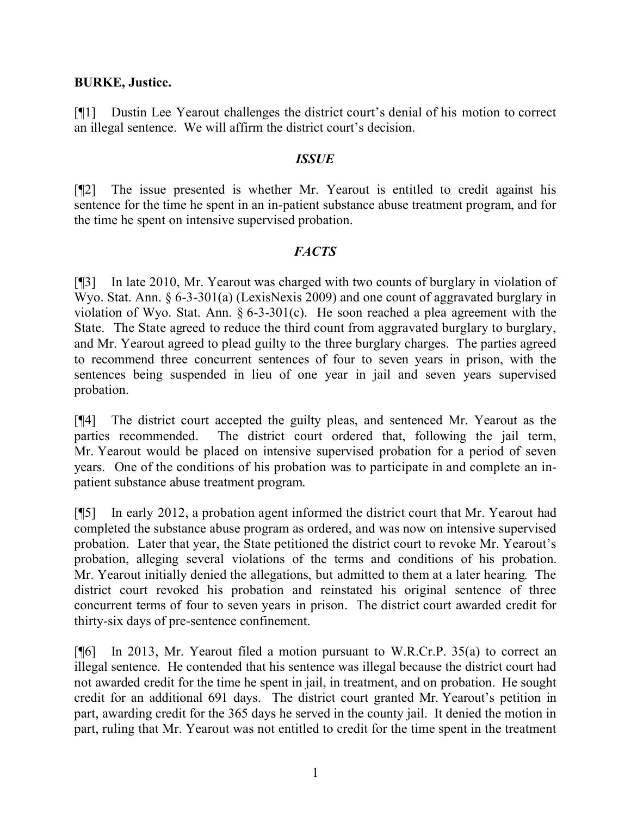### **BURKE, Justice.**

[¶1] Dustin Lee Yearout challenges the district court's denial of his motion to correct an illegal sentence. We will affirm the district court's decision.

### *ISSUE*

[¶2] The issue presented is whether Mr. Yearout is entitled to credit against his sentence for the time he spent in an in-patient substance abuse treatment program, and for the time he spent on intensive supervised probation.

## *FACTS*

[¶3] In late 2010, Mr. Yearout was charged with two counts of burglary in violation of Wyo. Stat. Ann. § 6-3-301(a) (LexisNexis 2009) and one count of aggravated burglary in violation of Wyo. Stat. Ann. § 6-3-301(c). He soon reached a plea agreement with the State. The State agreed to reduce the third count from aggravated burglary to burglary, and Mr. Yearout agreed to plead guilty to the three burglary charges. The parties agreed to recommend three concurrent sentences of four to seven years in prison, with the sentences being suspended in lieu of one year in jail and seven years supervised probation.

[¶4] The district court accepted the guilty pleas, and sentenced Mr. Yearout as the parties recommended. The district court ordered that, following the jail term, Mr. Yearout would be placed on intensive supervised probation for a period of seven years. One of the conditions of his probation was to participate in and complete an inpatient substance abuse treatment program.

[¶5] In early 2012, a probation agent informed the district court that Mr. Yearout had completed the substance abuse program as ordered, and was now on intensive supervised probation. Later that year, the State petitioned the district court to revoke Mr. Yearout's probation, alleging several violations of the terms and conditions of his probation. Mr. Yearout initially denied the allegations, but admitted to them at a later hearing. The district court revoked his probation and reinstated his original sentence of three concurrent terms of four to seven years in prison. The district court awarded credit for thirty-six days of pre-sentence confinement.

[¶6] In 2013, Mr. Yearout filed a motion pursuant to W.R.Cr.P. 35(a) to correct an illegal sentence. He contended that his sentence was illegal because the district court had not awarded credit for the time he spent in jail, in treatment, and on probation. He sought credit for an additional 691 days. The district court granted Mr. Yearout's petition in part, awarding credit for the 365 days he served in the county jail. It denied the motion in part, ruling that Mr. Yearout was not entitled to credit for the time spent in the treatment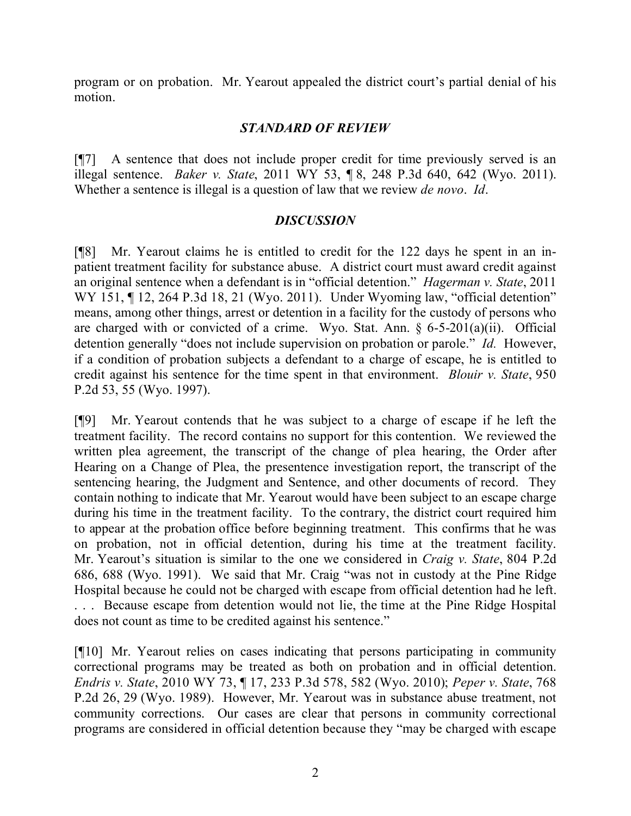program or on probation. Mr. Yearout appealed the district court's partial denial of his motion.

## *STANDARD OF REVIEW*

[¶7] A sentence that does not include proper credit for time previously served is an illegal sentence. *Baker v. State*, 2011 WY 53, ¶ 8, 248 P.3d 640, 642 (Wyo. 2011). Whether a sentence is illegal is a question of law that we review *de novo*. *Id*.

## *DISCUSSION*

[¶8] Mr. Yearout claims he is entitled to credit for the 122 days he spent in an inpatient treatment facility for substance abuse. A district court must award credit against an original sentence when a defendant is in "official detention." *Hagerman v. State*, 2011 WY 151, 12, 264 P.3d 18, 21 (Wyo. 2011). Under Wyoming law, "official detention" means, among other things, arrest or detention in a facility for the custody of persons who are charged with or convicted of a crime. Wyo. Stat. Ann.  $\S$  6-5-201(a)(ii). Official detention generally "does not include supervision on probation or parole." *Id.* However, if a condition of probation subjects a defendant to a charge of escape, he is entitled to credit against his sentence for the time spent in that environment. *Blouir v. State*, 950 P.2d 53, 55 (Wyo. 1997).

[¶9] Mr. Yearout contends that he was subject to a charge of escape if he left the treatment facility. The record contains no support for this contention. We reviewed the written plea agreement, the transcript of the change of plea hearing, the Order after Hearing on a Change of Plea, the presentence investigation report, the transcript of the sentencing hearing, the Judgment and Sentence, and other documents of record. They contain nothing to indicate that Mr. Yearout would have been subject to an escape charge during his time in the treatment facility. To the contrary, the district court required him to appear at the probation office before beginning treatment. This confirms that he was on probation, not in official detention, during his time at the treatment facility. Mr. Yearout's situation is similar to the one we considered in *Craig v. State*, 804 P.2d 686, 688 (Wyo. 1991). We said that Mr. Craig "was not in custody at the Pine Ridge Hospital because he could not be charged with escape from official detention had he left. . . . Because escape from detention would not lie, the time at the Pine Ridge Hospital does not count as time to be credited against his sentence."

[¶10] Mr. Yearout relies on cases indicating that persons participating in community correctional programs may be treated as both on probation and in official detention. *Endris v. State*, 2010 WY 73, ¶ 17, 233 P.3d 578, 582 (Wyo. 2010); *Peper v. State*, 768 P.2d 26, 29 (Wyo. 1989). However, Mr. Yearout was in substance abuse treatment, not community corrections. Our cases are clear that persons in community correctional programs are considered in official detention because they "may be charged with escape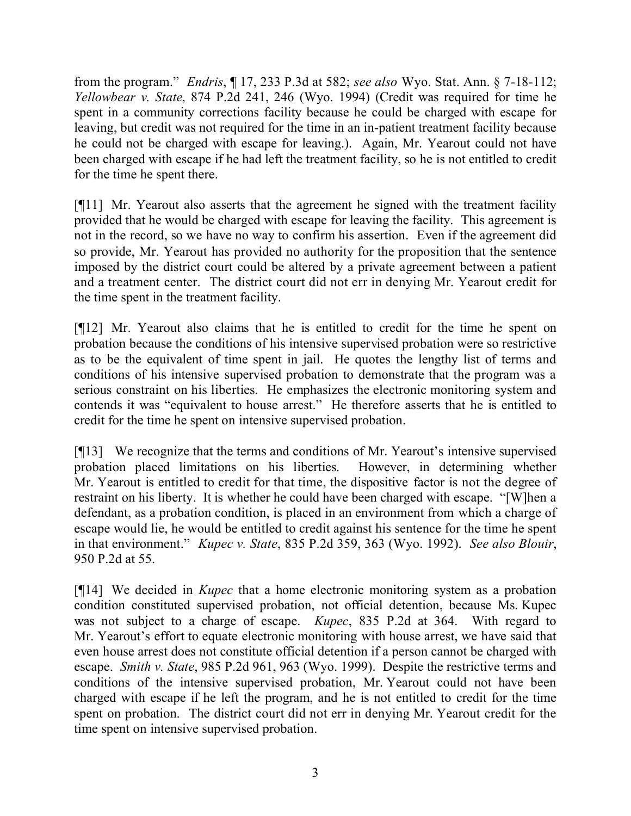from the program." *Endris*, ¶ 17, 233 P.3d at 582; *see also* Wyo. Stat. Ann. § 7-18-112; *Yellowbear v. State*, 874 P.2d 241, 246 (Wyo. 1994) (Credit was required for time he spent in a community corrections facility because he could be charged with escape for leaving, but credit was not required for the time in an in-patient treatment facility because he could not be charged with escape for leaving.). Again, Mr. Yearout could not have been charged with escape if he had left the treatment facility, so he is not entitled to credit for the time he spent there.

[¶11] Mr. Yearout also asserts that the agreement he signed with the treatment facility provided that he would be charged with escape for leaving the facility. This agreement is not in the record, so we have no way to confirm his assertion. Even if the agreement did so provide, Mr. Yearout has provided no authority for the proposition that the sentence imposed by the district court could be altered by a private agreement between a patient and a treatment center. The district court did not err in denying Mr. Yearout credit for the time spent in the treatment facility.

[¶12] Mr. Yearout also claims that he is entitled to credit for the time he spent on probation because the conditions of his intensive supervised probation were so restrictive as to be the equivalent of time spent in jail. He quotes the lengthy list of terms and conditions of his intensive supervised probation to demonstrate that the program was a serious constraint on his liberties. He emphasizes the electronic monitoring system and contends it was "equivalent to house arrest." He therefore asserts that he is entitled to credit for the time he spent on intensive supervised probation.

[¶13] We recognize that the terms and conditions of Mr. Yearout's intensive supervised probation placed limitations on his liberties. However, in determining whether Mr. Yearout is entitled to credit for that time, the dispositive factor is not the degree of restraint on his liberty. It is whether he could have been charged with escape. "[W]hen a defendant, as a probation condition, is placed in an environment from which a charge of escape would lie, he would be entitled to credit against his sentence for the time he spent in that environment." *Kupec v. State*, 835 P.2d 359, 363 (Wyo. 1992). *See also Blouir*, 950 P.2d at 55.

[¶14] We decided in *Kupec* that a home electronic monitoring system as a probation condition constituted supervised probation, not official detention, because Ms. Kupec was not subject to a charge of escape. *Kupec*, 835 P.2d at 364. With regard to Mr. Yearout's effort to equate electronic monitoring with house arrest, we have said that even house arrest does not constitute official detention if a person cannot be charged with escape. *Smith v. State*, 985 P.2d 961, 963 (Wyo. 1999). Despite the restrictive terms and conditions of the intensive supervised probation, Mr. Yearout could not have been charged with escape if he left the program, and he is not entitled to credit for the time spent on probation. The district court did not err in denying Mr. Yearout credit for the time spent on intensive supervised probation.